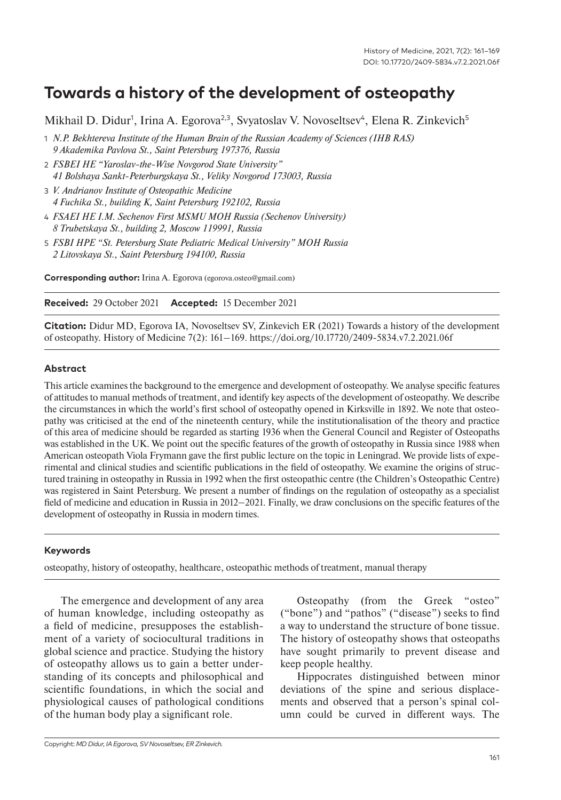# **Towards a history of the development of osteopathy**

Mikhail D. Didur<sup>1</sup>, Irina A. Egorova<sup>2,3</sup>, Svyatoslav V. Novoseltsev<sup>4</sup>, Elena R. Zinkevich<sup>5</sup>

- 1 *N.P. Bekhtereva Institute of the Human Brain of the Russian Academy of Sciences (IHB RAS) 9 Akademika Pavlova St., Saint Petersburg 197376, Russia*
- 2 *FSBEI HE "Yaroslav-the-Wise Novgorod State University" 41 Bolshaya Sankt-Peterburgskaya St., Veliky Novgorod 173003, Russia*
- 3 *V. Andrianov Institute of Osteopathic Medicine 4 Fuchika St., building K, Saint Petersburg 192102, Russia*
- 4 *FSAEI HE I.M. Sechenov First MSMU MOH Russia (Sechenov University) 8 Trubetskaya St., building 2, Moscow 119991, Russia*
- 5 *FSBI HPE "St. Petersburg State Pediatric Medical University" MOH Russia 2 Litovskaya St., Saint Petersburg 194100, Russia*

**Corresponding author:** Irina A. Egorova (egorova.osteo@gmail.com)

**Received:** 29 October 2021 **Accepted:** 15 December 2021

**Citation:** Didur MD, Egorova IA, Novoseltsev SV, Zinkevich ER (2021) Towards a history of the development of osteopathy. History of Medicine 7(2): 161–169. https://doi.org/10.17720/2409-5834.v7.2.2021.06f

#### **Abstract**

This article examines the background to the emergence and development of osteopathy. We analyse specific features of attitudes to manual methods of treatment, and identify key aspects of the development of osteopathy. We describe the circumstances in which the world's first school of osteopathy opened in Kirksville in 1892. We note that osteopathy was criticised at the end of the nineteenth century, while the institutionalisation of the theory and practice of this area of medicine should be regarded as starting 1936 when the General Council and Register of Osteopaths was established in the UK. We point out the specific features of the growth of osteopathy in Russia since 1988 when American osteopath Viola Frymann gave the first public lecture on the topic in Leningrad. We provide lists of experimental and clinical studies and scientific publications in the field of osteopathy. We examine the origins of structured training in osteopathy in Russia in 1992 when the first osteopathic centre (the Children's Osteopathic Centre) was registered in Saint Petersburg. We present a number of findings on the regulation of osteopathy as a specialist field of medicine and education in Russia in 2012–2021. Finally, we draw conclusions on the specific features of the development of osteopathy in Russia in modern times.

#### **Keywords**

osteopathy, history of osteopathy, healthcare, osteopathic methods of treatment, manual therapy

The emergence and development of any area of human knowledge, including osteopathy as a field of medicine, presupposes the establishment of a variety of sociocultural traditions in global science and practice. Studying the history of osteopathy allows us to gain a better understanding of its concepts and philosophical and scientific foundations, in which the social and physiological causes of pathological conditions of the human body play a significant role.

Osteopathy (from the Greek "osteo" ("bone") and "pathos" ("disease") seeks to find a way to understand the structure of bone tissue. The history of osteopathy shows that osteopaths have sought primarily to prevent disease and keep people healthy.

Hippocrates distinguished between minor deviations of the spine and serious displacements and observed that a person's spinal column could be curved in different ways. The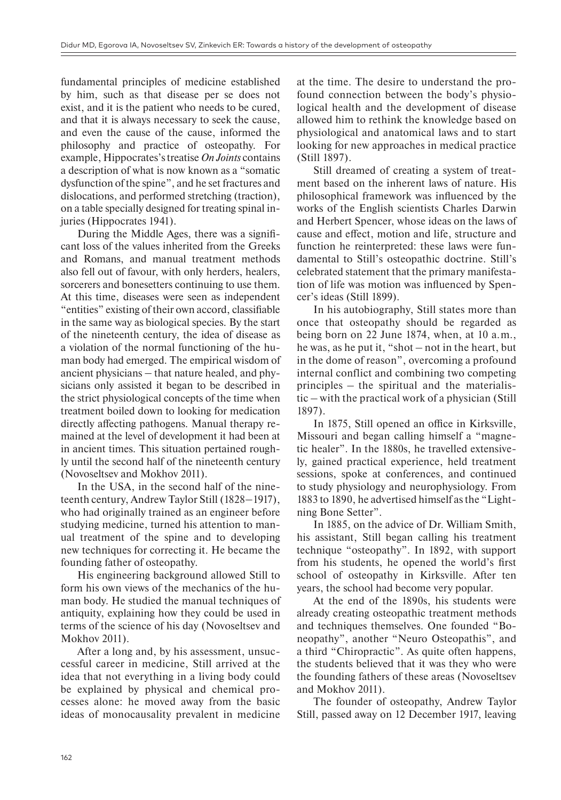fundamental principles of medicine established by him, such as that disease per se does not exist, and it is the patient who needs to be cured, and that it is always necessary to seek the cause, and even the cause of the cause, informed the philosophy and practice of osteopathy. For example, Hippocrates's treatise *On Joints* contains a description of what is now known as a "somatic dysfunction of the spine", and he set fractures and dislocations, and performed stretching (traction), on a table specially designed for treating spinal injuries (Hippocrates 1941).

During the Middle Ages, there was a significant loss of the values inherited from the Greeks and Romans, and manual treatment methods also fell out of favour, with only herders, healers, sorcerers and bonesetters continuing to use them. At this time, diseases were seen as independent "entities" existing of their own accord, classifiable in the same way as biological species. By the start of the nineteenth century, the idea of disease as a violation of the normal functioning of the human body had emerged. The empirical wisdom of ancient physicians  $-$  that nature healed, and physicians only assisted it began to be described in the strict physiological concepts of the time when treatment boiled down to looking for medication directly affecting pathogens. Manual therapy remained at the level of development it had been at in ancient times. This situation pertained roughly until the second half of the nineteenth century (Novoseltsev and Mokhov 2011).

In the USA, in the second half of the nineteenth century, Andrew Taylor Still (1828–1917), who had originally trained as an engineer before studying medicine, turned his attention to manual treatment of the spine and to developing new techniques for correcting it. He became the founding father of osteopathy.

His engineering background allowed Still to form his own views of the mechanics of the human body. He studied the manual techniques of antiquity, explaining how they could be used in terms of the science of his day (Novoseltsev and Mokhov 2011).

After a long and, by his assessment, unsuccessful career in medicine, Still arrived at the idea that not everything in a living body could be explained by physical and chemical processes alone: he moved away from the basic ideas of monocausality prevalent in medicine at the time. The desire to understand the profound connection between the body's physiological health and the development of disease allowed him to rethink the knowledge based on physiological and anatomical laws and to start looking for new approaches in medical practice (Still 1897).

Still dreamed of creating a system of treatment based on the inherent laws of nature. His philosophical framework was influenced by the works of the English scientists Charles Darwin and Herbert Spencer, whose ideas on the laws of cause and effect, motion and life, structure and function he reinterpreted: these laws were fundamental to Still's osteopathic doctrine. Still's celebrated statement that the primary manifestation of life was motion was influenced by Spencer's ideas (Still 1899).

In his autobiography, Still states more than once that osteopathy should be regarded as being born on 22 June 1874, when, at 10 a.m., he was, as he put it, "shot – not in the heart, but in the dome of reason", overcoming a profound internal conflict and combining two competing principles – the spiritual and the materialistic – with the practical work of a physician (Still 1897).

In 1875, Still opened an office in Kirksville, Missouri and began calling himself a "magnetic healer". In the 1880s, he travelled extensively, gained practical experience, held treatment sessions, spoke at conferences, and continued to study physiology and neurophysiology. From 1883 to 1890, he advertised himself as the "Lightning Bone Setter".

In 1885, on the advice of Dr. William Smith, his assistant, Still began calling his treatment technique "osteopathy". In 1892, with support from his students, he opened the world's first school of osteopathy in Kirksville. After ten years, the school had become very popular.

At the end of the 1890s, his students were already creating osteopathic treatment methods and techniques themselves. One founded "Boneopathy", another "Neuro Osteopathis", and a third "Chiropractic". As quite often happens, the students believed that it was they who were the founding fathers of these areas (Novoseltsev and Mokhov 2011).

The founder of osteopathy, Andrew Taylor Still, passed away on 12 December 1917, leaving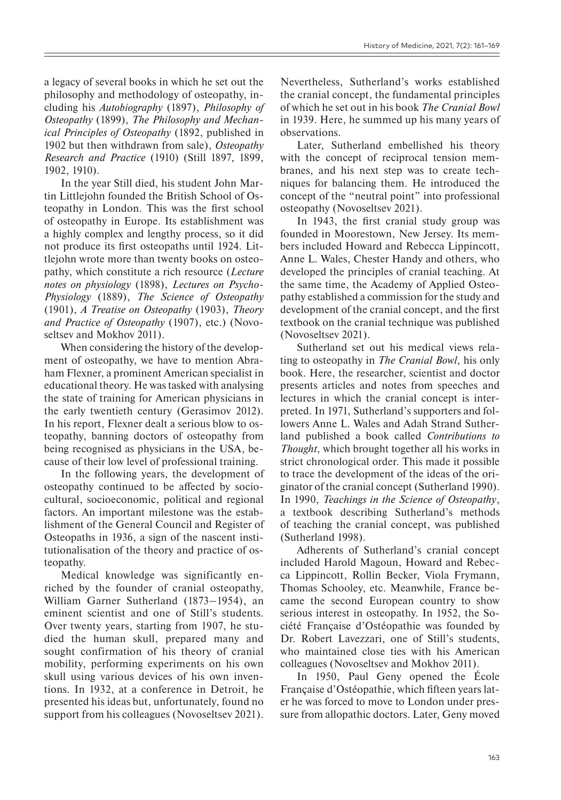a legacy of several books in which he set out the philosophy and methodology of osteopathy, including his *Autobiography* (1897), *Philosophy of Osteopathy* (1899), *The Philosophy and Mechanical Principles of Osteopathy* (1892, published in 1902 but then withdrawn from sale), *Osteopathy Research and Practice* (1910) (Still 1897, 1899, 1902, 1910).

In the year Still died, his student John Martin Littlejohn founded the British School of Osteopathy in London. This was the first school of osteopathy in Europe. Its establishment was a highly complex and lengthy process, so it did not produce its first osteopaths until 1924. Littlejohn wrote more than twenty books on osteopathy, which constitute a rich resource (*Lecture notes on physiology* (1898), *Lectures on Psycho-Physiology* (1889), *The Science of Osteopathy* (1901), *A Treatise on Osteopathy* (1903), *Theory and Practice of Osteopathy* (1907), etc.) (Novoseltsev and Mokhov 2011).

When considering the history of the development of osteopathy, we have to mention Abraham Flexner, a prominent American specialist in educational theory. He was tasked with analysing the state of training for American physicians in the early twentieth century (Gerasimov 2012). In his report, Flexner dealt a serious blow to osteopathy, banning doctors of osteopathy from being recognised as physicians in the USA, because of their low level of professional training.

In the following years, the development of osteopathy continued to be affected by sociocultural, socioeconomic, political and regional factors. An important milestone was the establishment of the General Council and Register of Osteopaths in 1936, a sign of the nascent institutionalisation of the theory and practice of osteopathy.

Medical knowledge was significantly enriched by the founder of cranial osteopathy, William Garner Sutherland (1873–1954), an eminent scientist and one of Still's students. Over twenty years, starting from 1907, he studied the human skull, prepared many and sought confirmation of his theory of cranial mobility, performing experiments on his own skull using various devices of his own inventions. In 1932, at a conference in Detroit, he presented his ideas but, unfortunately, found no support from his colleagues (Novoseltsev 2021).

Nevertheless, Sutherland's works established the cranial concept, the fundamental principles of which he set out in his book *The Cranial Bowl* in 1939. Here, he summed up his many years of observations.

Later, Sutherland embellished his theory with the concept of reciprocal tension membranes, and his next step was to create techniques for balancing them. He introduced the concept of the "neutral point" into professional osteopathy (Novoseltsev 2021).

In 1943, the first cranial study group was founded in Moorestown, New Jersey. Its members included Howard and Rebecca Lippincott, Anne L. Wales, Chester Handy and others, who developed the principles of cranial teaching. At the same time, the Academy of Applied Osteopathy established a commission for the study and development of the cranial concept, and the first textbook on the cranial technique was published (Novoseltsev 2021).

Sutherland set out his medical views relating to osteopathy in *The Cranial Bowl*, his only book. Here, the researcher, scientist and doctor presents articles and notes from speeches and lectures in which the cranial concept is interpreted. In 1971, Sutherland's supporters and followers Anne L. Wales and Adah Strand Sutherland published a book called *Contributions to Thought*, which brought together all his works in strict chronological order. This made it possible to trace the development of the ideas of the originator of the cranial concept (Sutherland 1990). In 1990, *Teachings in the Science of Osteopathy*, a textbook describing Sutherland's methods of teaching the cranial concept, was published (Sutherland 1998).

Adherents of Sutherland's cranial concept included Harold Magoun, Howard and Rebecca Lippincott, Rollin Becker, Viola Frymann, Thomas Schooley, etc. Meanwhile, France became the second European country to show serious interest in osteopathy. In 1952, the Société Française d'Ostéopathie was founded by Dr. Robert Lavezzari, one of Still's students, who maintained close ties with his American colleagues (Novoseltsev and Mokhov 2011).

In 1950, Paul Geny opened the École Française d'Ostéopathie, which fifteen years later he was forced to move to London under pressure from allopathic doctors. Later, Geny moved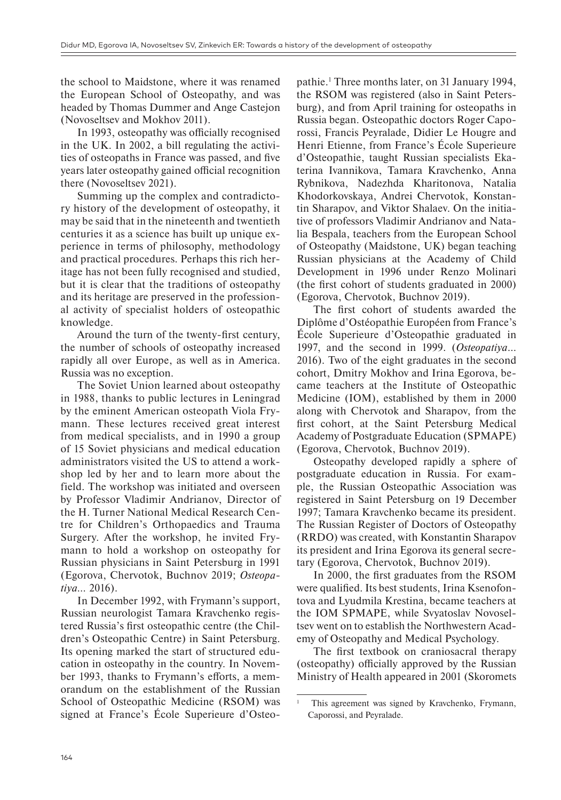the school to Maidstone, where it was renamed the European School of Osteopathy, and was headed by Thomas Dummer and Ange Castejon (Novoseltsev and Mokhov 2011).

In 1993, osteopathy was officially recognised in the UK. In 2002, a bill regulating the activities of osteopaths in France was passed, and five years later osteopathy gained official recognition there (Novoseltsev 2021).

Summing up the complex and contradictory history of the development of osteopathy, it may be said that in the nineteenth and twentieth centuries it as a science has built up unique experience in terms of philosophy, methodology and practical procedures. Perhaps this rich heritage has not been fully recognised and studied, but it is clear that the traditions of osteopathy and its heritage are preserved in the professional activity of specialist holders of osteopathic knowledge.

Around the turn of the twenty-first century, the number of schools of osteopathy increased rapidly all over Europe, as well as in America. Russia was no exception.

The Soviet Union learned about osteopathy in 1988, thanks to public lectures in Leningrad by the eminent American osteopath Viola Frymann. These lectures received great interest from medical specialists, and in 1990 a group of 15 Soviet physicians and medical education administrators visited the US to attend a workshop led by her and to learn more about the field. The workshop was initiated and overseen by Professor Vladimir Andrianov, Director of the H. Turner National Medical Research Centre for Children's Orthopaedics and Trauma Surgery. After the workshop, he invited Frymann to hold a workshop on osteopathy for Russian physicians in Saint Petersburg in 1991 (Egorova, Chervotok, Buchnov 2019; *Osteopatiya…* 2016).

In December 1992, with Frymann's support, Russian neurologist Tamara Kravchenko registered Russia's first osteopathic centre (the Children's Osteopathic Centre) in Saint Petersburg. Its opening marked the start of structured education in osteopathy in the country. In November 1993, thanks to Frymann's efforts, a memorandum on the establishment of the Russian School of Osteopathic Medicine (RSOM) was signed at France's École Superieure d'Osteo-

pathie.1 Three months later, on 31 January 1994, the RSOM was registered (also in Saint Petersburg), and from April training for osteopaths in Russia began. Osteopathic doctors Roger Caporossi, Francis Peyralade, Didier Le Hougre and Henri Etienne, from France's École Superieure d'Osteopathie, taught Russian specialists Ekaterina Ivannikova, Tamara Kravchenko, Anna Rybnikova, Nadezhda Kharitonova, Natalia Khodorkovskaya, Andrei Chervotok, Konstantin Sharapov, and Viktor Shalaev. On the initiative of professors Vladimir Andrianov and Natalia Bespala, teachers from the European School of Osteopathy (Maidstone, UK) began teaching Russian physicians at the Academy of Child Development in 1996 under Renzo Molinari (the first cohort of students graduated in 2000) (Egorova, Chervotok, Buchnov 2019).

The first cohort of students awarded the Diplôme d'Ostéopathie Européen from France's École Superieure d'Osteopathie graduated in 1997, and the second in 1999. (*Osteopatiya*… 2016). Two of the eight graduates in the second cohort, Dmitry Mokhov and Irina Egorova, became teachers at the Institute of Osteopathic Medicine (IOM), established by them in 2000 along with Chervotok and Sharapov, from the first cohort, at the Saint Petersburg Medical Academy of Postgraduate Education (SPMAPE) (Egorova, Chervotok, Buchnov 2019).

Osteopathy developed rapidly a sphere of postgraduate education in Russia. For example, the Russian Osteopathic Association was registered in Saint Petersburg on 19 December 1997; Tamara Kravchenko became its president. The Russian Register of Doctors of Osteopathy (RRDO) was created, with Konstantin Sharapov its president and Irina Egorova its general secretary (Egorova, Chervotok, Buchnov 2019).

In 2000, the first graduates from the RSOM were qualified. Its best students, Irina Ksenofontova and Lyudmila Krestina, became teachers at the IOM SPMAPE, while Svyatoslav Novoseltsev went on to establish the Northwestern Academy of Osteopathy and Medical Psychology.

The first textbook on craniosacral therapy (osteopathy) officially approved by the Russian Ministry of Health appeared in 2001 (Skoromets

This agreement was signed by Kravchenko, Frymann, Caporossi, and Peyralade.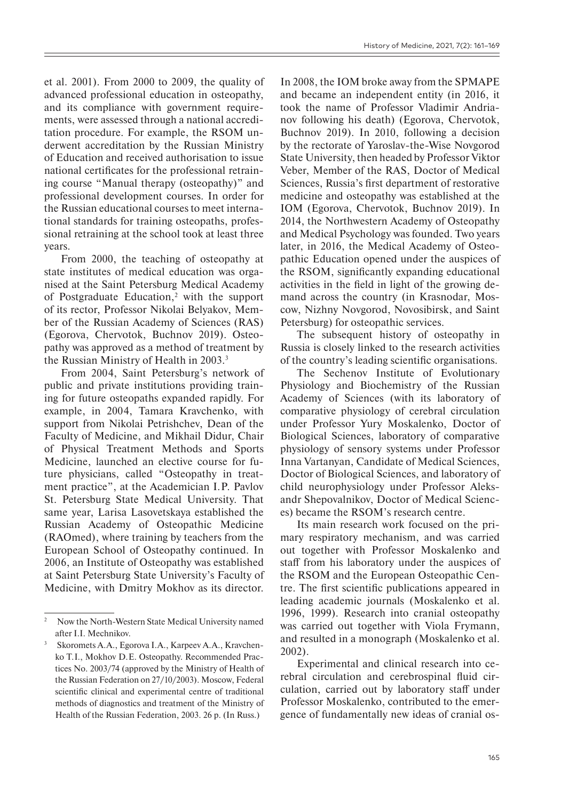et al. 2001). From 2000 to 2009, the quality of advanced professional education in osteopathy, and its compliance with government requirements, were assessed through a national accreditation procedure. For example, the RSOM underwent accreditation by the Russian Ministry of Education and received authorisation to issue national certificates for the professional retraining course "Manual therapy (osteopathy)" and professional development courses. In order for the Russian educational courses to meet international standards for training osteopaths, professional retraining at the school took at least three years.

From 2000, the teaching of osteopathy at state institutes of medical education was organised at the Saint Petersburg Medical Academy of Postgraduate Education,2 with the support of its rector, Professor Nikolai Belyakov, Member of the Russian Academy of Sciences (RAS) (Egorova, Chervotok, Buchnov 2019). Osteopathy was approved as a method of treatment by the Russian Ministry of Health in 2003.<sup>3</sup>

From 2004, Saint Petersburg's network of public and private institutions providing training for future osteopaths expanded rapidly. For example, in 2004, Tamara Kravchenko, with support from Nikolai Petrishchev, Dean of the Faculty of Medicine, and Mikhail Didur, Chair of Physical Treatment Methods and Sports Medicine, launched an elective course for future physicians, called "Osteopathy in treatment practice", at the Academician I.P. Pavlov St. Petersburg State Medical University. That same year, Larisa Lasovetskaya established the Russian Academy of Osteopathic Medicine (RAOmed), where training by teachers from the European School of Osteopathy continued. In 2006, an Institute of Osteopathy was established at Saint Petersburg State University's Faculty of Medicine, with Dmitry Mokhov as its director.

In 2008, the IOM broke away from the SPMAPE and became an independent entity (in 2016, it took the name of Professor Vladimir Andrianov following his death) (Egorova, Chervotok, Buchnov 2019). In 2010, following a decision by the rectorate of Yaroslav-the-Wise Novgorod State University, then headed by Professor Viktor Veber, Member of the RAS, Doctor of Medical Sciences, Russia's first department of restorative medicine and osteopathy was established at the IOM (Egorova, Chervotok, Buchnov 2019). In 2014, the Northwestern Academy of Osteopathy and Medical Psychology was founded. Two years later, in 2016, the Medical Academy of Osteopathic Education opened under the auspices of the RSOM, significantly expanding educational activities in the field in light of the growing demand across the country (in Krasnodar, Moscow, Nizhny Novgorod, Novosibirsk, and Saint Petersburg) for osteopathic services.

The subsequent history of osteopathy in Russia is closely linked to the research activities of the country's leading scientific organisations.

The Sechenov Institute of Evolutionary Physiology and Biochemistry of the Russian Academy of Sciences (with its laboratory of comparative physiology of cerebral circulation under Professor Yury Moskalenko, Doctor of Biological Sciences, laboratory of comparative physiology of sensory systems under Professor Inna Vartanyan, Candidate of Medical Sciences, Doctor of Biological Sciences, and laboratory of child neurophysiology under Professor Aleksandr Shepovalnikov, Doctor of Medical Sciences) became the RSOM's research centre.

Its main research work focused on the primary respiratory mechanism, and was carried out together with Professor Moskalenko and staff from his laboratory under the auspices of the RSOM and the European Osteopathic Centre. The first scientific publications appeared in leading academic journals (Moskalenko et al. 1996, 1999). Research into cranial osteopathy was carried out together with Viola Frymann, and resulted in a monograph (Moskalenko et al. 2002).

Experimental and clinical research into cerebral circulation and cerebrospinal fluid circulation, carried out by laboratory staff under Professor Moskalenko, contributed to the emergence of fundamentally new ideas of cranial os-

Now the North-Western State Medical University named after I.I. Mechnikov.

<sup>3</sup> Skoromets A.A., Egorova I.A., Karpeev A.A., Kravchenko T.I., Mokhov D.E. Osteopathy. Recommended Practices No. 2003/74 (approved by the Ministry of Health of the Russian Federation on 27/10/2003). Moscow, Federal scientific clinical and experimental centre of traditional methods of diagnostics and treatment of the Ministry of Health of the Russian Federation, 2003. 26 p. (In Russ.)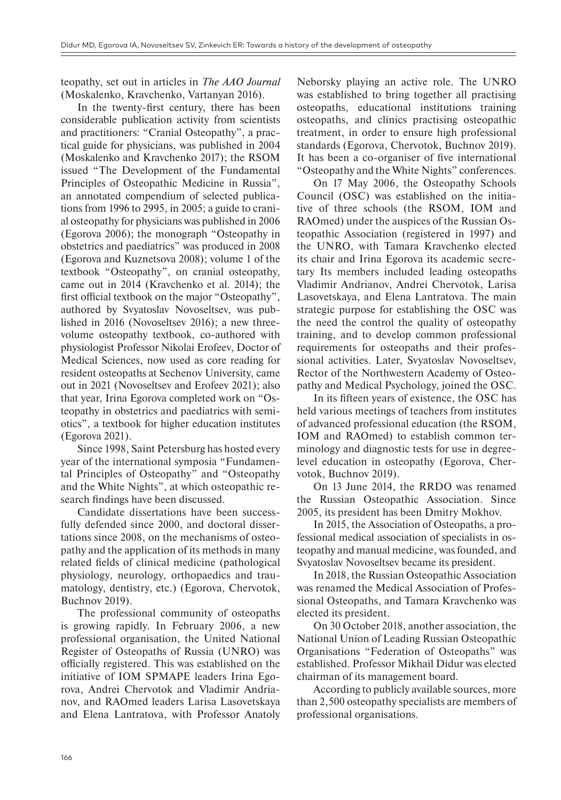teopathy, set out in articles in *The AAO Journal* (Moskalenko, Kravchenko, Vartanyan 2016).

In the twenty-first century, there has been considerable publication activity from scientists and practitioners: "Cranial Osteopathy", a practical guide for physicians, was published in 2004 (Moskalenko and Kravchenko 2017); the RSOM issued "The Development of the Fundamental Principles of Osteopathic Medicine in Russia", an annotated compendium of selected publications from 1996 to 2995, in 2005; a guide to cranial osteopathy for physicians was published in 2006 (Egorova 2006); the monograph "Osteopathy in obstetrics and paediatrics" was produced in 2008 (Egorova and Kuznetsova 2008); volume 1 of the textbook "Osteopathy", on cranial osteopathy, came out in 2014 (Kravchenko et al. 2014); the first official textbook on the major "Osteopathy", authored by Svyatoslav Novoseltsev, was published in 2016 (Novoseltsev 2016); a new threevolume osteopathy textbook, co-authored with physiologist Professor Nikolai Erofeev, Doctor of Medical Sciences, now used as core reading for resident osteopaths at Sechenov University, came out in 2021 (Novoseltsev and Erofeev 2021); also that year, Irina Egorova completed work on "Osteopathy in obstetrics and paediatrics with semiotics", a textbook for higher education institutes (Egorova 2021).

Since 1998, Saint Petersburg has hosted every year of the international symposia "Fundamental Principles of Osteopathy" and "Osteopathy and the White Nights", at which osteopathic research findings have been discussed.

Candidate dissertations have been successfully defended since 2000, and doctoral dissertations since 2008, on the mechanisms of osteopathy and the application of its methods in many related fields of clinical medicine (pathological physiology, neurology, orthopaedics and traumatology, dentistry, etc.) (Egorova, Chervotok, Buchnov 2019).

The professional community of osteopaths is growing rapidly. In February 2006, a new professional organisation, the United National Register of Osteopaths of Russia (UNRO) was officially registered. This was established on the initiative of IOM SPMAPE leaders Irina Egorova, Andrei Chervotok and Vladimir Andrianov, and RAOmed leaders Larisa Lasovetskaya and Elena Lantratova, with Professor Anatoly

Neborsky playing an active role. The UNRO was established to bring together all practising osteopaths, educational institutions training osteopaths, and clinics practising osteopathic treatment, in order to ensure high professional standards (Egorova, Chervotok, Buchnov 2019). It has been a co-organiser of five international "Osteopathy and the White Nights" conferences.

On 17 May 2006, the Osteopathy Schools Council (OSC) was established on the initiative of three schools (the RSOM, IOM and RAOmed) under the auspices of the Russian Osteopathic Association (registered in 1997) and the UNRO, with Tamara Kravchenko elected its chair and Irina Egorova its academic secretary Its members included leading osteopaths Vladimir Andrianov, Andrei Chervotok, Larisa Lasovetskaya, and Elena Lantratova. The main strategic purpose for establishing the OSC was the need the control the quality of osteopathy training, and to develop common professional requirements for osteopaths and their professional activities. Later, Svyatoslav Novoseltsev, Rector of the Northwestern Academy of Osteopathy and Medical Psychology, joined the OSC.

In its fifteen years of existence, the OSC has held various meetings of teachers from institutes of advanced professional education (the RSOM, IOM and RAOmed) to establish common terminology and diagnostic tests for use in degreelevel education in osteopathy (Egorova, Chervotok, Buchnov 2019).

On 13 June 2014, the RRDO was renamed the Russian Osteopathic Association. Since 2005, its president has been Dmitry Mokhov.

In 2015, the Association of Osteopaths, a professional medical association of specialists in osteopathy and manual medicine, was founded, and Svyatoslav Novoseltsev became its president.

In 2018, the Russian Osteopathic Association was renamed the Medical Association of Professional Osteopaths, and Tamara Kravchenko was elected its president.

On 30 October 2018, another association, the National Union of Leading Russian Osteopathic Organisations "Federation of Osteopaths" was established. Professor Mikhail Didur was elected chairman of its management board.

According to publicly available sources, more than 2,500 osteopathy specialists are members of professional organisations.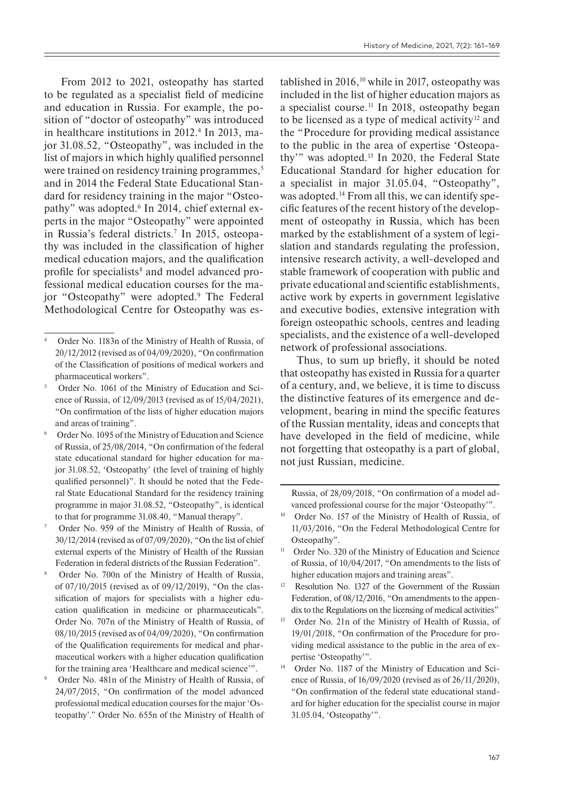From 2012 to 2021, osteopathy has started to be regulated as a specialist field of medicine and education in Russia. For example, the position of "doctor of osteopathy" was introduced in healthcare institutions in 2012.4 In 2013, major 31.08.52, "Osteopathy", was included in the list of majors in which highly qualified personnel were trained on residency training programmes,<sup>5</sup> and in 2014 the Federal State Educational Standard for residency training in the major "Osteopathy" was adopted.6 In 2014, chief external experts in the major "Osteopathy" were appointed in Russia's federal districts.7 In 2015, osteopathy was included in the classification of higher medical education majors, and the qualification profile for specialists<sup>8</sup> and model advanced professional medical education courses for the major "Osteopathy" were adopted.9 The Federal Methodological Centre for Osteopathy was established in  $2016$ , <sup>10</sup> while in 2017, osteopathy was included in the list of higher education majors as a specialist course.<sup>11</sup> In 2018, osteopathy began to be licensed as a type of medical activity<sup>12</sup> and the "Procedure for providing medical assistance to the public in the area of expertise 'Osteopathy'" was adopted.13 In 2020, the Federal State Educational Standard for higher education for a specialist in major 31.05.04, "Osteopathy", was adopted.<sup>14</sup> From all this, we can identify specific features of the recent history of the development of osteopathy in Russia, which has been marked by the establishment of a system of legislation and standards regulating the profession, intensive research activity, a well-developed and stable framework of cooperation with public and private educational and scientific establishments, active work by experts in government legislative and executive bodies, extensive integration with foreign osteopathic schools, centres and leading specialists, and the existence of a well-developed network of professional associations.

Thus, to sum up briefly, it should be noted that osteopathy has existed in Russia for a quarter of a century, and, we believe, it is time to discuss the distinctive features of its emergence and development, bearing in mind the specific features of the Russian mentality, ideas and concepts that have developed in the field of medicine, while not forgetting that osteopathy is a part of global, not just Russian, medicine.

Russia, of 28/09/2018, "On confirmation of a model advanced professional course for the major 'Osteopathy'".

<sup>4</sup> Order No. 1183n of the Ministry of Health of Russia, of 20/12/2012 (revised as of 04/09/2020), "On confirmation of the Classification of positions of medical workers and pharmaceutical workers".

<sup>5</sup> Order No. 1061 of the Ministry of Education and Science of Russia, of 12/09/2013 (revised as of 15/04/2021), "On confirmation of the lists of higher education majors and areas of training".

<sup>6</sup> Order No. 1095 of the Ministry of Education and Science of Russia, of 25/08/2014, "On confirmation of the federal state educational standard for higher education for major 31.08.52, 'Osteopathy' (the level of training of highly qualified personnel)". It should be noted that the Federal State Educational Standard for the residency training programme in major 31.08.52, "Osteopathy", is identical to that for programme 31.08.40, "Manual therapy".

Order No. 959 of the Ministry of Health of Russia, of 30/12/2014 (revised as of 07/09/2020), "On the list of chief external experts of the Ministry of Health of the Russian Federation in federal districts of the Russian Federation".

Order No. 700n of the Ministry of Health of Russia, of 07/10/2015 (revised as of 09/12/2019), "On the classification of majors for specialists with a higher education qualification in medicine or pharmaceuticals". Order No. 707n of the Ministry of Health of Russia, of 08/10/2015 (revised as of 04/09/2020), "On confirmation of the Qualification requirements for medical and pharmaceutical workers with a higher education qualification for the training area 'Healthcare and medical science'".

Order No. 481n of the Ministry of Health of Russia, of 24/07/2015, "On confirmation of the model advanced professional medical education courses for the major 'Osteopathy'." Order No. 655n of the Ministry of Health of

<sup>&</sup>lt;sup>10</sup> Order No. 157 of the Ministry of Health of Russia, of 11/03/2016, "On the Federal Methodological Centre for Osteopathy".

<sup>&</sup>lt;sup>11</sup> Order No. 320 of the Ministry of Education and Science of Russia, of 10/04/2017, "On amendments to the lists of higher education majors and training areas".

<sup>&</sup>lt;sup>12</sup> Resolution No. 1327 of the Government of the Russian Federation, of 08/12/2016, "On amendments to the appendix to the Regulations on the licensing of medical activities"

<sup>&</sup>lt;sup>13</sup> Order No. 21n of the Ministry of Health of Russia, of 19/01/2018, "On confirmation of the Procedure for providing medical assistance to the public in the area of expertise 'Osteopathy'".

<sup>&</sup>lt;sup>14</sup> Order No. 1187 of the Ministry of Education and Science of Russia, of 16/09/2020 (revised as of 26/11/2020), "On confirmation of the federal state educational standard for higher education for the specialist course in major 31.05.04, 'Osteopathy'".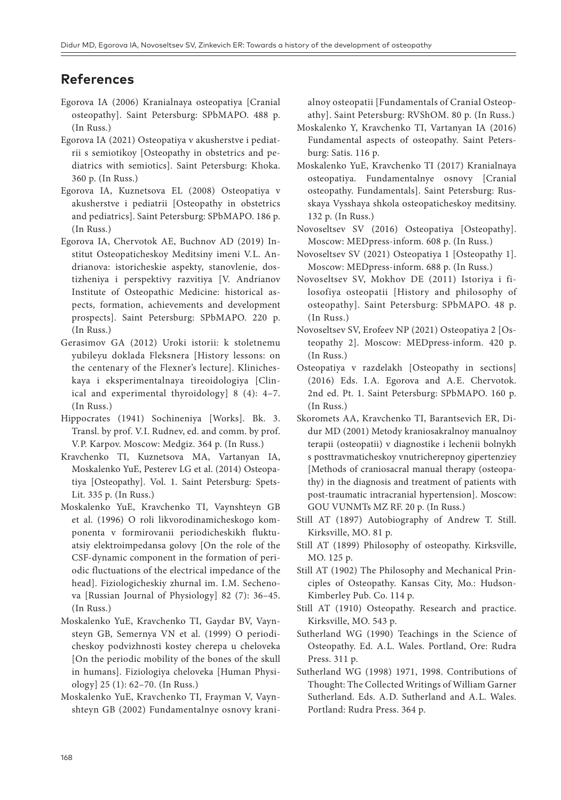## **References**

- Egorova IA (2006) Kranialnaya osteopatiya [Cranial osteopathy]. Saint Petersburg: SPbMAPO. 488 p. (In Russ.)
- Egorova IA (2021) Osteopatiya v akusherstve i pediatrii s semiotikoy [Osteopathy in obstetrics and pediatrics with semiotics]. Saint Petersburg: Khoka. 360 p. (In Russ.)
- Egorova IA, Kuznetsova EL (2008) Osteopatiya v akusherstve i pediatrii [Osteopathy in obstetrics and pediatrics]. Saint Petersburg: SPbMAPO. 186 p. (In Russ.)
- Egorova IA, Chervotok AE, Buchnov AD (2019) Institut Osteopaticheskoy Meditsiny imeni V.L. Andrianova: istoricheskie aspekty, stanovlenie, dostizheniya i perspektivy razvitiya [V. Andrianov Institute of Osteopathic Medicine: historical aspects, formation, achievements and development prospects]. Saint Petersburg: SPbMAPO. 220 p. (In Russ.)
- Gerasimov GA (2012) Uroki istorii: k stoletnemu yubileyu doklada Fleksnera [History lessons: on the centenary of the Flexner's lecture]. Klinicheskaya i eksperimentalnaya tireoidologiya [Clinical and experimental thyroidology] 8 (4): 4–7. (In Russ.)
- Hippocrates (1941) Sochineniya [Works]. Bk. 3. Transl. by prof. V.I. Rudnev, ed. and comm. by prof. V.P. Karpov. Moscow: Medgiz. 364 p. (In Russ.)
- Kravchenko TI, Kuznetsova MA, Vartanyan IA, Moskalenko YuE, Pesterev LG et al. (2014) Osteopatiya [Osteopathy]. Vol. 1. Saint Petersburg: Spets-Lit. 335 p. (In Russ.)
- Moskalenko YuE, Kravchenko TI, Vaynshteyn GB et al. (1996) O roli likvorodinamicheskogo komponenta v formirovanii periodicheskikh fluktuatsiy elektroimpedansa golovy [On the role of the CSF-dynamic component in the formation of periodic fluctuations of the electrical impedance of the head]. Fiziologicheskiy zhurnal im. I.M. Sechenova [Russian Journal of Physiology] 82 (7): 36–45. (In Russ.)
- Moskalenko YuE, Kravchenko TI, Gaydar BV, Vaynsteyn GB, Semernya VN et al. (1999) O periodicheskoy podvizhnosti kostey cherepa u cheloveka [On the periodic mobility of the bones of the skull in humans]. Fiziologiya cheloveka [Human Physiology] 25 (1): 62–70. (In Russ.)
- Moskalenko YuE, Kravchenko TI, Frayman V, Vaynshteyn GB (2002) Fundamentalnye osnovy krani-

alnoy osteopatii [Fundamentals of Cranial Osteopathy]. Saint Petersburg: RVShOM. 80 p. (In Russ.)

- Moskalenko Y, Kravchenko TI, Vartanyan IA (2016) Fundamental aspects of osteopathy. Saint Petersburg: Satis. 116 p.
- Moskalenko YuE, Kravchenko TI (2017) Kranialnaya osteopatiya. Fundamentalnye osnovy [Cranial osteopathy. Fundamentals]. Saint Petersburg: Russkaya Vysshaya shkola osteopaticheskoy meditsiny. 132 p. (In Russ.)
- Novoseltsev SV (2016) Osteopatiya [Osteopathy]. Moscow: MEDpress-inform. 608 p. (In Russ.)
- Novoseltsev SV (2021) Osteopatiya 1 [Osteopathy 1]. Moscow: MEDpress-inform. 688 p. (In Russ.)
- Novoseltsev SV, Mokhov DE (2011) Istoriya i filosofiya osteopatii [History and philosophy of osteopathy]. Saint Petersburg: SPbMAPO. 48 p. (In Russ.)
- Novoseltsev SV, Erofeev NP (2021) Osteopatiya 2 [Osteopathy 2]. Moscow: MEDpress-inform. 420 p. (In Russ.)
- Osteopatiya v razdelakh [Osteopathy in sections] (2016) Eds. I.A. Egorova and A.E. Chervotok. 2nd ed. Pt. 1. Saint Petersburg: SPbMAPO. 160 p. (In Russ.)
- Skoromets AA, Kravchenko TI, Barantsevich ER, Didur MD (2001) Metody kraniosakralnoy manualnoy terapii (osteopatii) v diagnostike i lechenii bolnykh s posttravmaticheskoy vnutricherepnoy gipertenziey [Methods of craniosacral manual therapy (osteopathy) in the diagnosis and treatment of patients with post-traumatic intracranial hypertension]. Moscow: GOU VUNMTs MZ RF. 20 p. (In Russ.)
- Still AT (1897) Autobiography of Andrew T. Still. Kirksville, MО. 81 p.
- Still AT (1899) Philosophy of osteopathy. Kirksville, MO. 125 p.
- Still AT (1902) The Philosophy and Mechanical Principles of Osteopathy. Kansas City, Mo.: Hudson--Kimberley Pub. Co. 114 p.
- Still AT (1910) Osteopathy. Research and practice. Kirksville, MO. 543 p.
- Sutherland WG (1990) Teachings in the Science of Osteopathy. Ed. A.L. Wales. Portland, Ore: Rudra Press. 311 p.
- Sutherland WG (1998) 1971, 1998. Contributions of Thought: The Collected Writings of William Garner Sutherland. Eds. A.D. Sutherland and A.L. Wales. Portland: Rudra Press. 364 p.